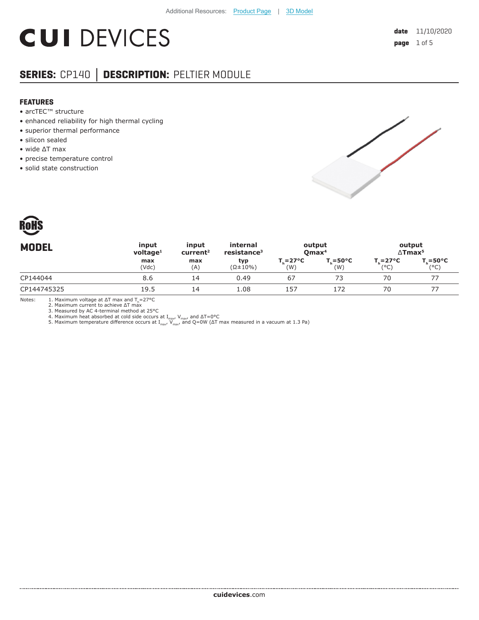# **CUI DEVICES**

## **SERIES:** CP140 **│ DESCRIPTION:** PELTIER MODULE

#### **FEATURES**

- arcTEC™ structure
- enhanced reliability for high thermal cycling
- superior thermal performance
- silicon sealed
- wide ΔT max
- precise temperature control
- solid state construction





| <b>MODEL</b> | input<br>$v$ oltage <sup>1</sup> | input<br>current <sup>2</sup> | internal<br>resistance <sup>3</sup> | output<br>Qmax <sup>4</sup>  |                                   | output<br>$\Delta$ Tmax <sup>5</sup> |                             |
|--------------|----------------------------------|-------------------------------|-------------------------------------|------------------------------|-----------------------------------|--------------------------------------|-----------------------------|
|              | max<br>(Vdc)                     | max<br>(A)                    | typ<br>$(\Omega \pm 10\%)$          | $T_{c} = 27^{\circ}C$<br>(W) | $T_{\rm c} = 50^{\circ}$ C<br>(W) | $T_{\rm c} = 27^{\circ}C$<br>(°C)    | $T_c = 50^{\circ}C$<br>(°C) |
| CP144044     | 8.6                              | 14                            | 0.49                                | 67                           | 73                                | 70                                   |                             |
| CP144745325  | 19.5                             | 14                            | 1.08                                | 157                          | 172                               | 70                                   |                             |
|              |                                  |                               |                                     |                              |                                   |                                      |                             |

Notes: 1. Maximum voltage at  $\Delta T$  max and  $T_h$ =27°C

2. Maximum current to achieve ΔT max

3. Measured by AC 4-terminal method at 25°C<br>4. Maximum heat absorbed at cold side occurs at I<sub>max</sub>, V<sub>max</sub>, and ΔT=0°C<br>5. Maximum temperature difference occurs at I<sub>max</sub>, V<sub>max</sub>, and Q=0W (ΔT max measured in a vacuum at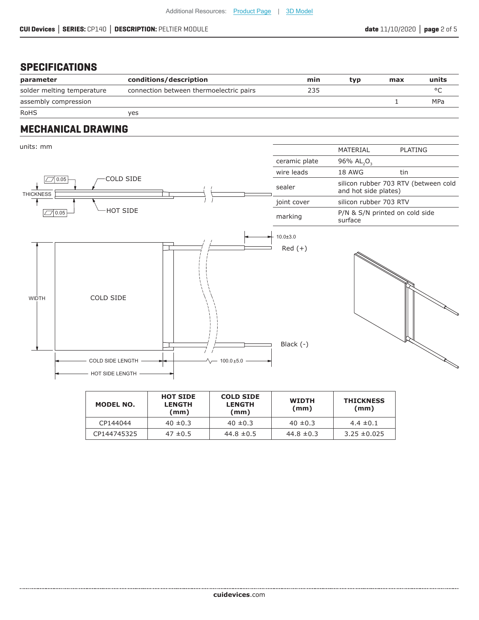#### **SPECIFICATIONS**

| parameter                  | conditions/description                  | min | tvp | max | units   |
|----------------------------|-----------------------------------------|-----|-----|-----|---------|
| solder melting temperature | connection between thermoelectric pairs | 235 |     |     | $\circ$ |
| assembly compression       |                                         |     |     |     | MPa     |
| <b>RoHS</b>                | ves                                     |     |     |     |         |

#### **MECHANICAL DRAWING**



| MODEL NO.   | <b>HOT SIDE</b><br><b>LENGTH</b><br>(mm) | <b>COLD SIDE</b><br><b>LENGTH</b><br>(mm) | <b>WIDTH</b><br>(mm) | <b>THICKNESS</b><br>(mm) |  |
|-------------|------------------------------------------|-------------------------------------------|----------------------|--------------------------|--|
| CP144044    | $40 \pm 0.3$                             | $40 \pm 0.3$                              | $40 \pm 0.3$         | $4.4 \pm 0.1$            |  |
| CP144745325 | $47 \pm 0.5$                             | 44.8 $\pm$ 0.5                            | 44.8 $\pm$ 0.3       | $3.25 \pm 0.025$         |  |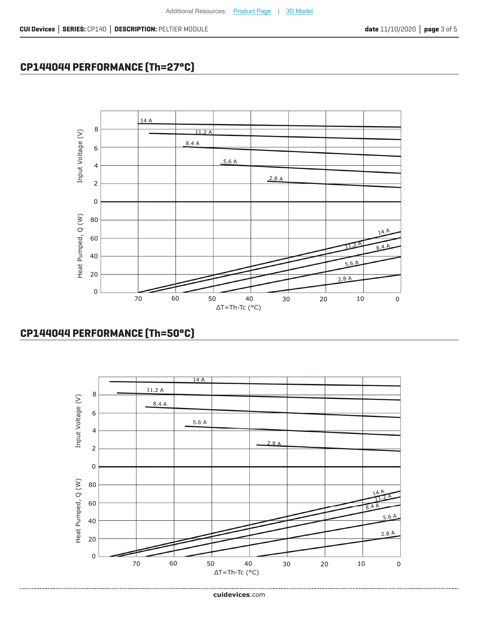ΔT=Th-Tc (°C)

60 50 40 30 20 10 0



#### **CP144044 PERFORMANCE (Th=50°C)**

70



Additional Resources: [Product Page](https://www.cuidevices.com/track?actionLabel=Datasheet-ClickThrough-ProductPage&label=CP140.pdf&path=%2fproduct%2fthermal-management%2fpeltier-devices%2fsingle-stage-peltier-modules%2fcp140-series) | [3D Model](https://www.cuidevices.com/track?actionLabel=Datasheet-ClickThrough-3dmodel&label=CP140.pdf&path=%2fresources%2fcad-model-library%3fModelNumber%3dCP140+Series)

## **CP144044 PERFORMANCE (Th=27°C)**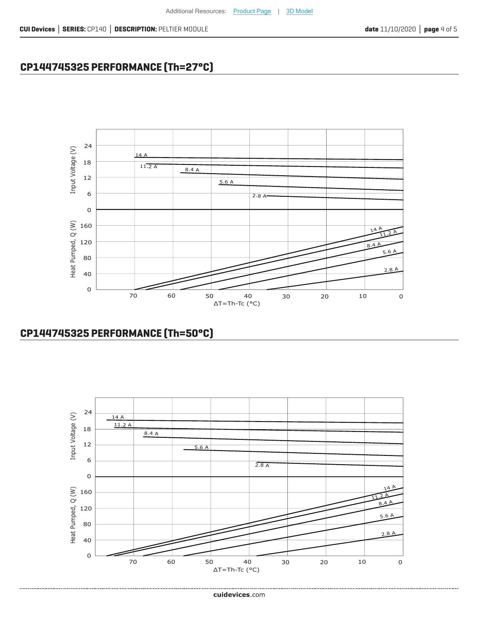## **CP144745325 PERFORMANCE (Th=27°C)**



#### **CP144745325 PERFORMANCE (Th=50°C)**